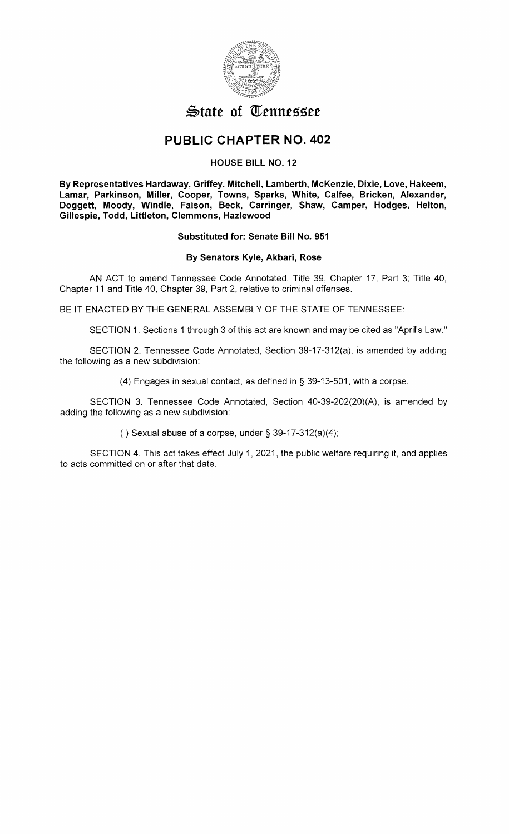

# $\mathfrak{S}$ tate of Tennessee

# **PUBLIC CHAPTER NO. 402**

## **HOUSE BILL NO. 12**

**By Representatives Hardaway, Griffey, Mitchell, Lamberth, McKenzie, Dixie, Love, Hakeem, Lamar, Parkinson, Miller, Cooper, Towns, Sparks, White, Calfee, Bricken, Alexander, Doggett, Moody, Windle, Faison, Beck, Carringer, Shaw, Camper, Hodges, Helton, Gillespie, Todd, Littleton, Clemmons, Hazlewood** 

### **Substituted for: Senate Bill No. 951**

### **By Senators Kyle, Akbari, Rose**

AN ACT to amend Tennessee Code Annotated, Title 39, Chapter 17, Part 3; Title 40, Chapter 11 and Title 40, Chapter 39, Part 2, relative to criminal offenses.

BE IT ENACTED BY THE GENERAL ASSEMBLY OF THE STATE OF TENNESSEE:

SECTION 1. Sections 1 through 3 of this act are known and may be cited as "April's Law."

SECTION 2. Tennessee Code Annotated, Section 39-17-312(a), is amended by adding the following as a new subdivision:

(4) Engages in sexual contact, as defined in§ 39-13-501, with a corpse.

SECTION 3. Tennessee Code Annotated, Section 40-39-202(20)(A), is amended by adding the following as a new subdivision:

() Sexual abuse of a corpse, under  $\S$  39-17-312(a)(4);

SECTION 4. This act takes effect July 1, 2021, the public welfare requiring it, and applies to acts committed on or after that date.